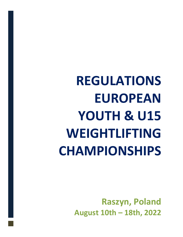**REGULATIONS EUROPEAN YOUTH & U15 WEIGHTLIFTING CHAMPIONSHIPS**

> **Raszyn, Poland August 10th – 18th, 2022**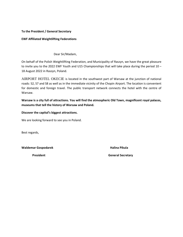### **To the President / General Secretary**

### **EWF Affiliated Weightlifting Federations**

#### Dear Sir/Madam,

On behalf of the Polish Weightlifting Federation, and Municipality of Raszyn, we have the great pleasure to invite you to the 2022 EWF Youth and U15 Championships that will take place during the period 10 -18 August 2022 in Raszyn, Poland.

AIRPORT HOTEL OKECIE is located in the southwest part of Warsaw at the junction of national roads: S2, S7 and S8 as well as in the immediate vicinity of the Chopin Airport. The location is convenient for domestic and foreign travel. The public transport network connects the hotel with the centre of Warsaw.

**Warsaw is a city full of attractions. You will find the atmospheric Old Town, magnificent royal palaces, museums that tell the history of Warsaw and Poland.**

#### **Discover the capital's biggest attractions.**

We are looking forward to see you in Poland.

Best regards,

Waldemar Gospodarek **Manusia Pikula** Halina Pikula

**President General Secretary**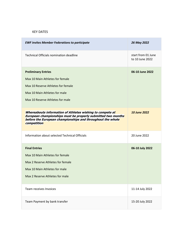### KEY DATES

| <b>EWF invites Member Federations to participate</b>                                                                                                                                                   | 26 May 2022                           |
|--------------------------------------------------------------------------------------------------------------------------------------------------------------------------------------------------------|---------------------------------------|
| Technical Officials nomination deadline                                                                                                                                                                | start from 01 June<br>to 10 June 2022 |
| <b>Preliminary Entries</b>                                                                                                                                                                             | 06-10 June 2022                       |
| Max 10 Main Athletes for female                                                                                                                                                                        |                                       |
| Max 10 Reserve Athletes for female                                                                                                                                                                     |                                       |
| Max 10 Main Athletes for male                                                                                                                                                                          |                                       |
| Max 10 Reserve Athletes for male                                                                                                                                                                       |                                       |
| Whereabouts information of Athletes wishing to compete at<br>European championships must be properly submitted two months<br>before the European championships and throughout the whole<br>competition | <b>10 June 2022</b>                   |
| Information about selected Technical Officials                                                                                                                                                         | 20 June 2022                          |
| <b>Final Entries</b>                                                                                                                                                                                   | 06-10 July 2022                       |
| Max 10 Main Athletes for female                                                                                                                                                                        |                                       |
| Max 2 Reserve Athletes for female                                                                                                                                                                      |                                       |
| Max 10 Main Athletes for male                                                                                                                                                                          |                                       |
| Max 2 Reserve Athletes for male                                                                                                                                                                        |                                       |
| Team receives Invoices                                                                                                                                                                                 | 11-14 July 2022                       |
| Team Payment by bank transfer                                                                                                                                                                          | 15-20 July 2022                       |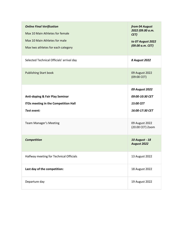| <b>Online Final Verification</b><br>Max 10 Main Athletes for female<br>Max 10 Main Athletes for male<br>Max two athletes for each category | from 04 August<br>2022 (09.00 a.m.<br>CET)<br>to 07 August 2022<br>(09.00 a.m. CET) |
|--------------------------------------------------------------------------------------------------------------------------------------------|-------------------------------------------------------------------------------------|
| Selected Technical Officials' arrival day                                                                                                  | <b>8 August 2022</b>                                                                |
| <b>Publishing Start book</b>                                                                                                               | 09 August 2022<br>$(09:00$ CET)                                                     |
| <b>Anti-doping &amp; Fair Play Seminar</b><br>ITOs meeting in the Competition Hall<br>Test event:                                          | 09 August 2022<br>09:00-10:30 CET<br>15:00 CET<br>16:00-17:30 CET                   |
|                                                                                                                                            |                                                                                     |
| Team Manager's Meeting                                                                                                                     | 09 August 2022<br>(20.00 CET) Zoom                                                  |
| <b>Competition</b>                                                                                                                         | <b>10 August - 18</b><br>August 2022                                                |
| Halfway meeting for Technical Officials                                                                                                    | 13 August 2022                                                                      |
| Last day of the competition:                                                                                                               | 18 August 2022                                                                      |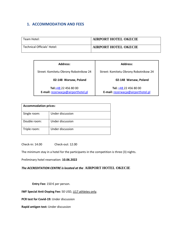# **1. ACCOMMODATION AND FEES**

| Team Hotel:                 | <b>AIRPORT HOTEL OKECIE</b> |
|-----------------------------|-----------------------------|
| Technical Officials' Hotel: | <b>AIRPORT HOTEL OKECIE</b> |

| <b>Address:</b>                                            | Address:                                                    |
|------------------------------------------------------------|-------------------------------------------------------------|
| Street: Komitetu Obrony Robotnikow 24                      | Street: Komitetu Obrony Robotnikow 24                       |
| 02-148 Warsaw, Poland                                      | 02-148 Warsaw, Poland                                       |
| Tel:+48 22 456 80 00<br>E-mail: rezerwacja@airporthotel.pl | Tel: +48 22 456 80 00<br>E-mail: rezerwacja@airporthotel.pl |

| <b>Accommodation prices:</b> |                  |
|------------------------------|------------------|
| Single room:                 | Under discussion |
| Double room:                 | Under discussion |
| Triple room:                 | Under discussion |

Check-in: 14.00 Check-out: 12.00

The minimum stay in a hotel for the participants in the competition is three (3) nights.

Preliminary hotel reservation: **10.06.2022**

### *The ACCREDITATION CENTRE is located at the* **AIRPORT HOTEL OKECIE**

**Entry Fee:** 150 € per person.

**IWF Special Anti-Doping Fee:** 50 USD, U17 athletes only.

**PCR test for Covid-19:** Under discussion

**Rapid antigen test:** Under discussion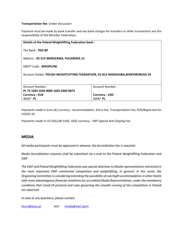### **Transportation fee:** Under discussion

Payment must be made by bank transfer and any bank charges for transfers or other transactions are the responsibility of the Member Federation.

| Details of the Poland Weightlifting Federation bank:                            |                      |  |  |
|---------------------------------------------------------------------------------|----------------------|--|--|
| The Bank: PKO BP                                                                |                      |  |  |
| Address: 02-515 WARSZAWA, PULAWSKA 15                                           |                      |  |  |
| <b>SWIFT Code: BPKOPLPW</b>                                                     |                      |  |  |
| Account Holder: POLISH WEIGHTLIFTING FEDERATION, 01-813 WARSZAWA, MARYMONCKA 34 |                      |  |  |
|                                                                                 |                      |  |  |
| Account Number:                                                                 | Account Number:      |  |  |
| PL 73 1020 1026 0000 1602 0369 9873                                             |                      |  |  |
| <b>Currency: EUR</b>                                                            | <b>Currency: USD</b> |  |  |
| IBAN* PL                                                                        | <b>IBAN* PL</b>      |  |  |

Payments made in Euro (€) currency - Accommodation, Entry Fee, Transportation Fee, PCR/Rapid test for COVID-19.

Payments made in US DOLLAR (USD, US\$) currency – IWF Special Anti-Doping Fee

## **MEDIA**:

All media participants must be approved in advance. No Accreditation fee is required.

Media Accreditation requests shall be submitted via e-mail to the Poland Weightlifting Federation and EWF.

*The EWF and Poland Weightlifting Federation pay special attention to Media representatives interested in the most important EWF continental competition and weightlifting, in general. In this sense, the Organizing Committee is considering extending the possibility of overnight accommodation in other hotels with more advantageous financial conditions for accredited Media Representatives, under the mandatory conditions that Covid-19 protocol and rules governing the smooth running of the competition in Poland are observed.*

In case of any questions, please contact:

[biuro@pzpc.pl](mailto:biuro@pzpc.pl) and [media@ewf.sport](mailto:media@ewf.sport)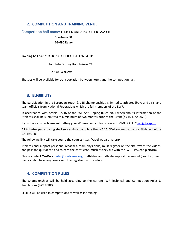# **2. COMPETITION AND TRAINING VENUE**

### Competition hall name: **CENTRUM SPORTU RASZYN**

Sportowa 30 **05-090 Raszyn**

### Training hall name: **AIRPORT HOTEL OKECIE**

Komitetu Obrony Robotnikow 24

#### **02-148 Warsaw**

Shuttles will be available for transportation between hotels and the competition hall.

## **3. ELIGIBILITY**

The participation in the European Youth & U15 championships is limited to athletes (boys and girls) and team officials from National Federations which are full members of the EWF.

In accordance with Article 5.5.16 of the IWF Anti-Doping Rules 2021 whereabouts information of the Athletes shall be submitted at a minimum of two months prior to the Event (by 10 June 2022).

If you have any problems submitting your Whereabouts, please contact IMMEDIATELY [iwf@ita.sport](mailto:iwf@ita.sport)

All Athletes participating shall successfully complete the WADA ADeL online course for Athletes before competing.

The following link will take you to the course:<https://adel.wada-ama.org/>

Athletes and support personnel (coaches, team physicians) must register on the site, watch the videos, and pass the quiz at the end to earn the certificate, much as they did with the IWF ILiftClean platform.

Please contact WADA at [adel@wadaama.org](mailto:adel@wadaama.org) if athletes and athlete support personnel (coaches, team medics, etc.) have any issues with the registration procedure.

## **4. COMPETITION RULES**

The Championships will be held according to the current IWF Technical and Competition Rules & Regulations (IWF TCRR).

ELEIKO will be used in competitions as well as in training.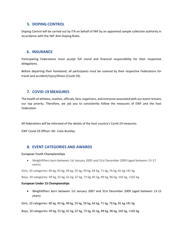## **5. DOPING CONTROL**

Doping Control will be carried out by ITA on behalf of IWF by an appointed sample collection authority in accordance with the IWF Anti-Doping Rules.

## **6. INSURANCE**

Participating Federations must accept full moral and financial responsibility for their respective delegations.

Before departing their homeland, all participants must be covered by their respective Federations for travel and accident/injury/illness (Covid-19).

## **7. COVID-19 MEASURES**

The health of athletes, coaches, officials, fans, organizers, and everyone associated with our event remains our top priority. Therefore, we ask you to consistently follow the measures of EWF and the host Federation.

All federations will be informed of the details of the host country's Covid-19 measures.

EWF Covid-19 Officer: Mr. Colin Buckley

## **8. EVENT CATEGORIES AND AWARDS**

#### **European Youth Championships**

 Weightlifters born between 1st January 2005 and 31st December 2009 (aged between 13-17 years).

Girls, 10 categories: 40 kg, 45 kg, 49 kg, 55 kg, 59 kg, 64 kg, 71 kg, 76 kg, 81 kg +81 kg.

Boys, 10 categories: 49 kg, 55 kg, 61 kg, 67 kg, 73 kg, 81 kg, 89 kg, 96 kg, 102 kg, +102 kg.

### **European Under 15 Championships**

 Weightlifters born between 1st January 2007 and 31st December 2009 (aged between 13-15 years).

Girls, 10 categories: 40 kg, 45 kg, 49 kg, 55 kg, 59 kg, 64 kg, 71 kg, 76 kg, 81 kg +81 kg.

Boys, 10 categories: 49 kg, 55 kg, 61 kg, 67 kg, 73 kg, 81 kg, 89 kg, 96 kg, 102 kg, +102 kg.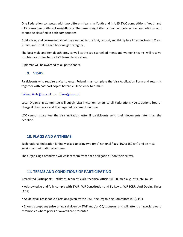One Federation competes with two different teams in Youth and in U15 EWC competitions. Youth and U15 teams need different weightlifters. The same weightlifter cannot compete in two competitions and cannot be classified in both competitions.

Gold, silver, and bronze medals will be awarded to the first, second, and third place lifters in Snatch, Clean & Jerk, and Total in each bodyweight category.

The best male and female athletes, as well as the top six ranked men's and women's teams, will receive trophies according to the IWF team classification.

Diplomas will be awarded to all participants.

## **9. VISAS**

Participants who require a visa to enter Poland must complete the Visa Application Form and return it together with passport copies before 20 June 2022 to e-mail:

[halina.pikula@pzpc.pl](mailto:halina.pikula@pzpc.pl) or [biuro@pzpc.pl](mailto:biuro@pzpc.pl)

Local Organizing Committee will supply visa invitation letters to all Federations / Associations free of charge if they provide all the required documents in time.

LOC cannot guarantee the visa invitation letter if participants send their documents later than the deadline.

## **10. FLAGS AND ANTHEMS**

Each national federation is kindly asked to bring two (two) national flags (100 x 150 cm) and an mp3 version of their national anthem.

The Organizing Committee will collect them from each delegation upon their arrival.

## **11. TERMS AND CONDITIONS OF PARTICIPATING**

Accredited Participants – athletes, team officials, technical officials (ITO), media, guests, etc. must:

• Acknowledge and fully comply with EWF, IWF Constitution and By-Laws, IWF TCRR, Anti-Doping Rules (ADR)

• Abide by all reasonable directions given by the EWF, the Organizing Committee (OC), TOs

• Should accept any prize or award given by EWF and /or OC/sponsors, and will attend all special award ceremonies where prizes or awards are presented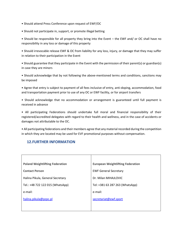- Should attend Press Conference upon request of EWF/OC
- Should not participate in, support, or promote illegal betting

• Should be responsible for all property they bring into the Event – the EWF and/ or OC shall have no responsibility in any loss or damage of this property

• Should irrevocable release EWF & OC from liability for any loss, injury, or damage that they may suffer in relation to their participation in the Event

• Should guarantee that they participate in the Event with the permission of their parent(s) or guardian(s) in case they are minors

• Should acknowledge that by not following the above-mentioned terms and conditions, sanctions may be imposed

• Agree that entry is subject to payment of all fees inclusive of entry, anti-doping, accommodation, food and transportation payment prior to use of any OC or EWF facility, or for airport transfers

• Should acknowledge that no accommodation or arrangement is guaranteed until full payment is received in advance

• All participating Federations should undertake full moral and financial responsibility of their registered/accredited delegates with regard to their health and wellness, and in the case of accidents or damages not attributable to the OC.

• All participating federations and their members agree that any material recorded during the competition in which they are located may be used for EVF promotional purposes without compensation.

## **12.FURTHER INFORMATION**

| <b>Poland Weightlifting Federation</b> | <b>European Weightlifting Federation</b> |
|----------------------------------------|------------------------------------------|
| <b>Contact Person</b>                  | <b>EWF General Secretary</b>             |
| Halina Pikula, General Secretary       | Dr. Milan MIHAILOVIC                     |
| Tel.: +48 722 122 015 (WhatsApp)       | Tel: +381 63 287 263 (WhatsApp)          |
| e-mail:                                | e-mail:                                  |
| halina.pikula@pzpc.pl                  | secretariat@ewf.sport                    |
|                                        |                                          |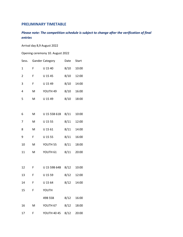# **PRELIMINARY TIMETABLE**

# *Please note: The competition schedule is subject to change after the verification of final entries*

Arrival day 8,9 August 2022

Opening ceremony 10. August 2022

| Sess.          |   | <b>Gander Category</b> | Date | Start |
|----------------|---|------------------------|------|-------|
| $\mathbf{1}$   | F | U 15 40                | 8/10 | 10:00 |
| $\overline{2}$ | F | U 15 45                | 8/10 | 12:00 |
| 3              | F | U 15 49                | 8/10 | 14:00 |
| 4              | M | YOUTH 49               | 8/10 | 16:00 |
| 5              | M | U 15 49                | 8/10 | 18:00 |
|                |   |                        |      |       |
| 6              | M | U 15 55B 61B           | 8/11 | 10:00 |
| 7              | M | U 15 55                | 8/11 | 12:00 |
| 8              | M | U 15 61                | 8/11 | 14:00 |
| 9              | F | U 15 55                | 8/11 | 16:00 |
| 10             | M | YOUTH 55               | 8/11 | 18:00 |
| 11             | M | YOUTH 61               | 8/11 | 20:00 |
|                |   |                        |      |       |
| 12             | F | U 15 59B 64B           | 8/12 | 10:00 |
| 13             | F | U 15 59                | 8/12 | 12:00 |
| 14             | F | U 15 64                | 8/12 | 14:00 |
| 15             | F | YOUTH                  |      |       |
|                |   | 49B 55B                | 8/12 | 16:00 |
| 16             | М | YOUTH 67               | 8/12 | 18:00 |
| 17             | F | <b>YOUTH 40 45</b>     | 8/12 | 20:00 |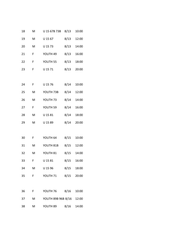| 18 | M | U 15 67B 73B        | 8/13       | 10:00 |
|----|---|---------------------|------------|-------|
| 19 | M | U 15 67             | 8/13       | 12:00 |
| 20 | M | U 1573              | 8/13       | 14:00 |
| 21 | F | YOUTH 49            | 8/13       | 16:00 |
| 22 | F | YOUTH <sub>55</sub> | 8/13       | 18:00 |
| 23 | F | U 15 71             | 8/13       | 20:00 |
|    |   |                     |            |       |
| 24 | F | U 1576              | 8/14       | 10:00 |
| 25 | M | YOUTH 73B           | 8/14       | 12:00 |
| 26 | M | YOUTH <sub>73</sub> | 8/14       | 14:00 |
| 27 | F | YOUTH <sub>59</sub> | 8/14       | 16:00 |
| 28 | M | U 1581              | 8/14       | 18:00 |
| 29 | M | U 1589              | 8/14       | 20:00 |
|    |   |                     |            |       |
| 30 | F | YOUTH 64            | 8/15       | 10:00 |
| 31 | M | YOUTH 81B           | 8/15       | 12:00 |
| 32 | M | YOUTH 81            | 8/15       | 14:00 |
| 33 | F | U 1581              | 8/15       | 16:00 |
| 34 | M | U 15 96             | 8/15       | 18:00 |
| 35 | F | YOUTH 71            | 8/15 20:00 |       |
|    |   |                     |            |       |
| 36 | F | YOUTH 76 8/16       |            | 10:00 |
| 37 | M | YOUTH 89B 96B 8/16  |            | 12:00 |
| 38 | M | YOUTH 89            | 8/16       | 14:00 |